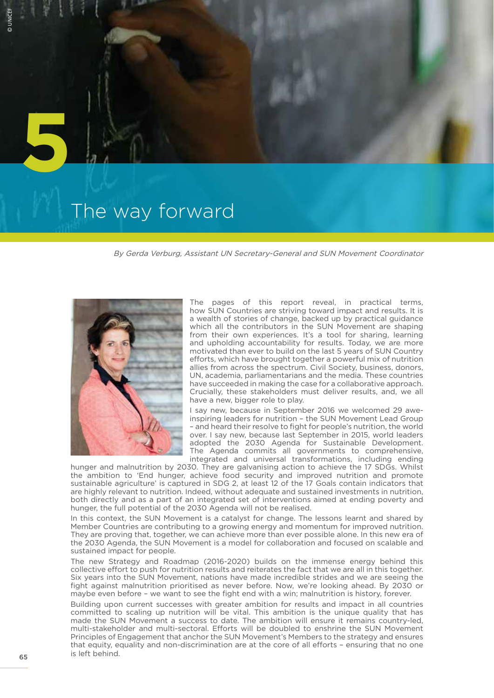# The way forward

By Gerda Verburg, Assistant UN Secretary-General and SUN Movement Coordinator



The pages of this report reveal, in practical terms, how SUN Countries are striving toward impact and results. It is a wealth of stories of change, backed up by practical guidance which all the contributors in the SUN Movement are shaping from their own experiences. It's a tool for sharing, learning and upholding accountability for results. Today, we are more motivated than ever to build on the last 5 years of SUN Country efforts, which have brought together a powerful mix of nutrition allies from across the spectrum. Civil Society, business, donors, UN, academia, parliamentarians and the media. These countries have succeeded in making the case for a collaborative approach. Crucially, these stakeholders must deliver results, and, we all have a new, bigger role to play.

I say new, because in September 2016 we welcomed 29 aweinspiring leaders for nutrition – the SUN Movement Lead Group – and heard their resolve to fight for people's nutrition, the world over. I say new, because last September in 2015, world leaders adopted the 2030 Agenda for Sustainable Development. The Agenda commits all governments to comprehensive, integrated and universal transformations, including ending

hunger and malnutrition by 2030. They are galvanising action to achieve the 17 SDGs. Whilst the ambition to 'End hunger, achieve food security and improved nutrition and promote sustainable agriculture' is captured in SDG 2, at least 12 of the 17 Goals contain indicators that are highly relevant to nutrition. Indeed, without adequate and sustained investments in nutrition, both directly and as a part of an integrated set of interventions aimed at ending poverty and hunger, the full potential of the 2030 Agenda will not be realised.

In this context, the SUN Movement is a catalyst for change. The lessons learnt and shared by Member Countries are contributing to a growing energy and momentum for improved nutrition. They are proving that, together, we can achieve more than ever possible alone. In this new era of the 2030 Agenda, the SUN Movement is a model for collaboration and focused on scalable and sustained impact for people.

The new Strategy and Roadmap (2016-2020) builds on the immense energy behind this collective effort to push for nutrition results and reiterates the fact that we are all in this together. Six years into the SUN Movement, nations have made incredible strides and we are seeing the fight against malnutrition prioritised as never before. Now, we're looking ahead. By 2030 or maybe even before – we want to see the fight end with a win; malnutrition is history, forever.

Building upon current successes with greater ambition for results and impact in all countries committed to scaling up nutrition will be vital. This ambition is the unique quality that has made the SUN Movement a success to date. The ambition will ensure it remains country-led, multi-stakeholder and multi-sectoral. Efforts will be doubled to enshrine the SUN Movement Principles of Engagement that anchor the SUN Movement's Members to the strategy and ensures that equity, equality and non-discrimination are at the core of all efforts - ensuring that no one is left behind.

© UNICEF

**5**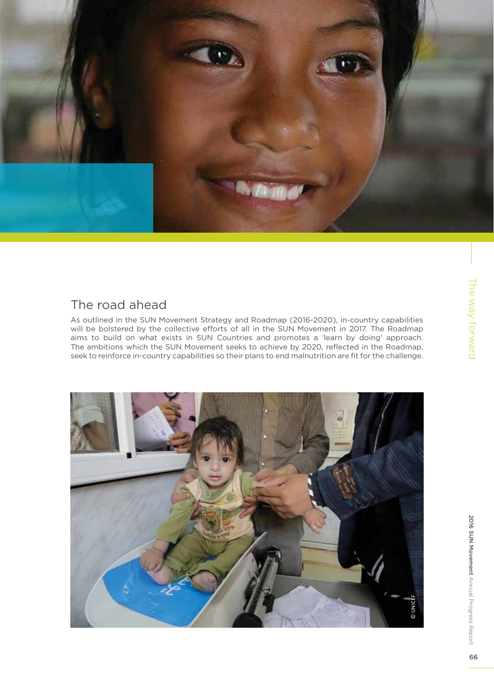

### The road ahead

As outlined in the SUN Movement Strategy and Roadmap (2016-2020), in-country capabilities will be bolstered by the collective efforts of all in the SUN Movement in 2017. The Roadmap aims to build on what exists in SUN Countries and promotes a 'learn by doing' approach. The ambitions which the SUN Movement seeks to achieve by 2020, reflected in the Roadmap, seek to reinforce in-country capabilities so their plans to end malnutrition are fit for the challenge.

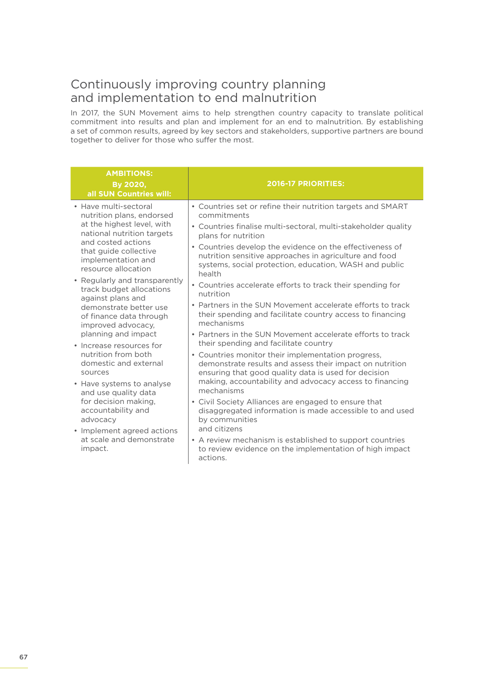#### Continuously improving country planning and implementation to end malnutrition

In 2017, the SUN Movement aims to help strengthen country capacity to translate political commitment into results and plan and implement for an end to malnutrition. By establishing a set of common results, agreed by key sectors and stakeholders, supportive partners are bound together to deliver for those who suffer the most.

| <b>Bv 2020.</b><br>all SUN Countries will: | <b>2016-17 PRIORITIES:</b>                                     |
|--------------------------------------------|----------------------------------------------------------------|
| • Have multi-sectoral                      | • Countries set or refine their nutrition targets and SMART    |
| nutrition plans, endorsed                  | commitments                                                    |
| at the highest level, with                 | • Countries finalise multi-sectoral, multi-stakeholder quality |
| national nutrition targets                 | plans for nutrition                                            |
| and costed actions                         | • Countries develop the evidence on the effectiveness of       |
| that quide collective                      | nutrition sensitive approaches in agriculture and food         |
| implementation and                         | systems, social protection, education, WASH and public         |
| resource allocation                        | health                                                         |
| • Regularly and transparently              | • Countries accelerate efforts to track their spending for     |
| track budget allocations                   | nutrition                                                      |
| against plans and                          | • Partners in the SUN Movement accelerate efforts to track     |
| demonstrate better use                     | their spending and facilitate country access to financing      |
| of finance data through                    | mechanisms                                                     |
| improved advocacy.                         | • Partners in the SUN Movement accelerate efforts to track     |
| planning and impact                        | their spending and facilitate country                          |
| • Increase resources for                   | • Countries monitor their implementation progress,             |
| nutrition from both                        | demonstrate results and assess their impact on nutrition       |
| domestic and external                      | ensuring that good quality data is used for decision           |
| sources                                    | making, accountability and advocacy access to financing        |
| • Have systems to analyse                  | mechanisms                                                     |
| and use quality data                       | • Civil Society Alliances are engaged to ensure that           |
| for decision making.                       | disaggregated information is made accessible to and used       |
| accountability and                         | by communities                                                 |
| advocacy                                   | and citizens                                                   |
| • Implement agreed actions                 | • A review mechanism is established to support countries       |
| at scale and demonstrate                   | to review evidence on the implementation of high impact        |
| impact.                                    | actions.                                                       |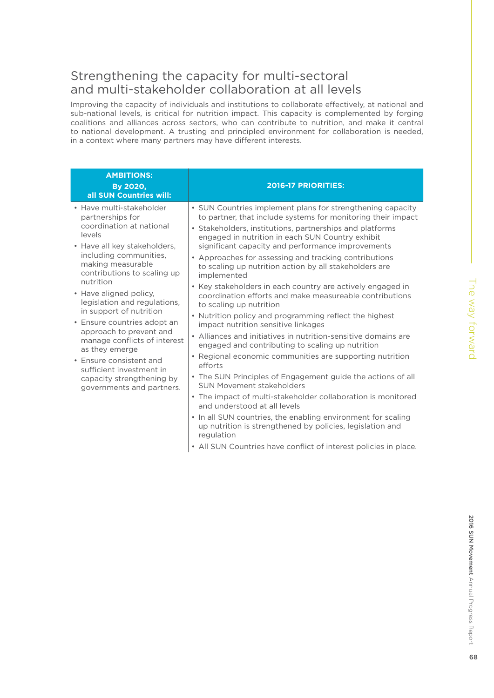#### Strengthening the capacity for multi-sectoral and multi-stakeholder collaboration at all levels

Improving the capacity of individuals and institutions to collaborate effectively, at national and sub-national levels, is critical for nutrition impact. This capacity is complemented by forging coalitions and alliances across sectors, who can contribute to nutrition, and make it central to national development. A trusting and principled environment for collaboration is needed, in a context where many partners may have different interests.

| <b>AMBITIONS:</b><br>By 2020,<br>all SUN Countries will:                                                                                                                                                                                                                                                                                                                                                                                                                                                                        | <b>2016-17 PRIORITIES:</b>                                                                                                                                                                                                                                                                                                                                                                                                                                                                                                                                                                                                                                                                                                                                                                                                                                                                                                                                                                                                                                                                                                                                                                                                        |
|---------------------------------------------------------------------------------------------------------------------------------------------------------------------------------------------------------------------------------------------------------------------------------------------------------------------------------------------------------------------------------------------------------------------------------------------------------------------------------------------------------------------------------|-----------------------------------------------------------------------------------------------------------------------------------------------------------------------------------------------------------------------------------------------------------------------------------------------------------------------------------------------------------------------------------------------------------------------------------------------------------------------------------------------------------------------------------------------------------------------------------------------------------------------------------------------------------------------------------------------------------------------------------------------------------------------------------------------------------------------------------------------------------------------------------------------------------------------------------------------------------------------------------------------------------------------------------------------------------------------------------------------------------------------------------------------------------------------------------------------------------------------------------|
| • Have multi-stakeholder<br>partnerships for<br>coordination at national<br>levels<br>• Have all key stakeholders,<br>including communities,<br>making measurable<br>contributions to scaling up<br>nutrition<br>• Have aligned policy,<br>legislation and regulations,<br>in support of nutrition<br>• Ensure countries adopt an<br>approach to prevent and<br>manage conflicts of interest<br>as they emerge<br>• Ensure consistent and<br>sufficient investment in<br>capacity strengthening by<br>governments and partners. | • SUN Countries implement plans for strengthening capacity<br>to partner, that include systems for monitoring their impact<br>• Stakeholders, institutions, partnerships and platforms<br>engaged in nutrition in each SUN Country exhibit<br>significant capacity and performance improvements<br>• Approaches for assessing and tracking contributions<br>to scaling up nutrition action by all stakeholders are<br>implemented<br>• Key stakeholders in each country are actively engaged in<br>coordination efforts and make measureable contributions<br>to scaling up nutrition<br>• Nutrition policy and programming reflect the highest<br>impact nutrition sensitive linkages<br>• Alliances and initiatives in nutrition-sensitive domains are<br>engaged and contributing to scaling up nutrition<br>• Regional economic communities are supporting nutrition<br>efforts<br>• The SUN Principles of Engagement guide the actions of all<br><b>SUN Movement stakeholders</b><br>• The impact of multi-stakeholder collaboration is monitored<br>and understood at all levels<br>• In all SUN countries, the enabling environment for scaling<br>up nutrition is strengthened by policies, legislation and<br>regulation |

• All SUN Countries have conflict of interest policies in place.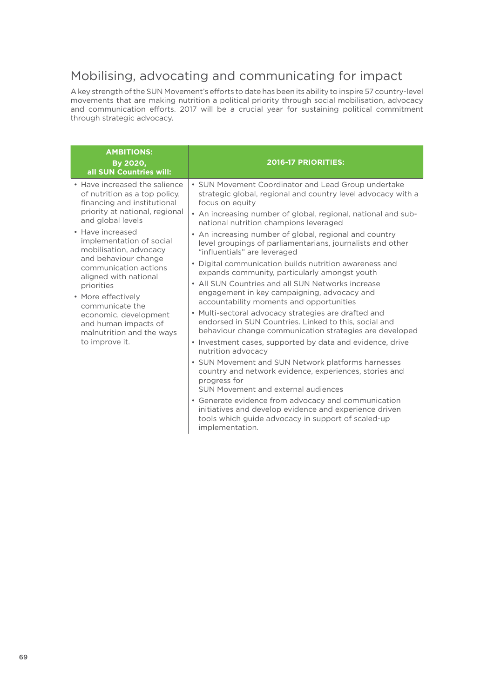## Mobilising, advocating and communicating for impact

A key strength of the SUN Movement's efforts to date has been its ability to inspire 57 country-level movements that are making nutrition a political priority through social mobilisation, advocacy and communication efforts. 2017 will be a crucial year for sustaining political commitment through strategic advocacy.

| <b>AMBITIONS:</b><br>By 2020,<br>all SUN Countries will:                                                                                                                                                                                                                                                                                                                                                                                                        | <b>2016-17 PRIORITIES:</b>                                                                                                                                                                                                                                                                                                                                                                                                                                                                                                                                                                                                                                                                                                                                                                                                                                                                                                                                                                                                                                                                                                                                                                                                                                                                           |
|-----------------------------------------------------------------------------------------------------------------------------------------------------------------------------------------------------------------------------------------------------------------------------------------------------------------------------------------------------------------------------------------------------------------------------------------------------------------|------------------------------------------------------------------------------------------------------------------------------------------------------------------------------------------------------------------------------------------------------------------------------------------------------------------------------------------------------------------------------------------------------------------------------------------------------------------------------------------------------------------------------------------------------------------------------------------------------------------------------------------------------------------------------------------------------------------------------------------------------------------------------------------------------------------------------------------------------------------------------------------------------------------------------------------------------------------------------------------------------------------------------------------------------------------------------------------------------------------------------------------------------------------------------------------------------------------------------------------------------------------------------------------------------|
| • Have increased the salience<br>of nutrition as a top policy,<br>financing and institutional<br>priority at national, regional<br>and global levels<br>• Have increased<br>implementation of social<br>mobilisation, advocacy<br>and behaviour change<br>communication actions<br>aligned with national<br>priorities<br>• More effectively<br>communicate the<br>economic, development<br>and human impacts of<br>malnutrition and the ways<br>to improve it. | • SUN Movement Coordinator and Lead Group undertake<br>strategic global, regional and country level advocacy with a<br>focus on equity<br>• An increasing number of global, regional, national and sub-<br>national nutrition champions leveraged<br>• An increasing number of global, regional and country<br>level groupings of parliamentarians, journalists and other<br>"influentials" are leveraged<br>• Digital communication builds nutrition awareness and<br>expands community, particularly amongst youth<br>• All SUN Countries and all SUN Networks increase<br>engagement in key campaigning, advocacy and<br>accountability moments and opportunities<br>• Multi-sectoral advocacy strategies are drafted and<br>endorsed in SUN Countries. Linked to this, social and<br>behaviour change communication strategies are developed<br>• Investment cases, supported by data and evidence, drive<br>nutrition advocacy<br>• SUN Movement and SUN Network platforms harnesses<br>country and network evidence, experiences, stories and<br>progress for<br>SUN Movement and external audiences<br>• Generate evidence from advocacy and communication<br>initiatives and develop evidence and experience driven<br>tools which guide advocacy in support of scaled-up<br>implementation. |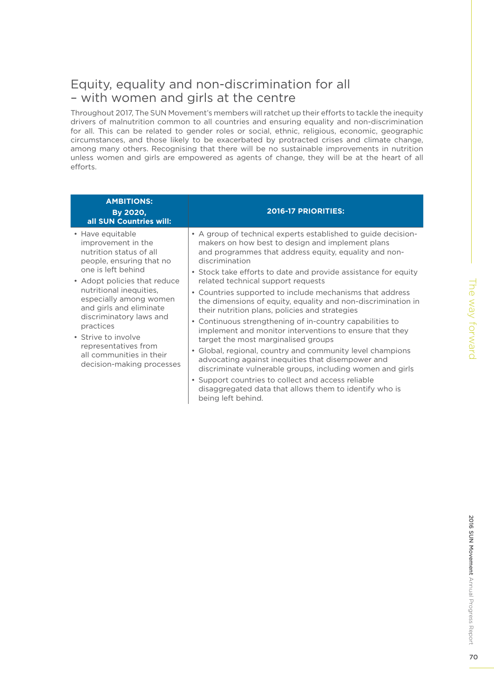#### Equity, equality and non-discrimination for all – with women and girls at the centre

Throughout 2017, The SUN Movement's members will ratchet up their efforts to tackle the inequity drivers of malnutrition common to all countries and ensuring equality and non-discrimination for all. This can be related to gender roles or social, ethnic, religious, economic, geographic circumstances, and those likely to be exacerbated by protracted crises and climate change, among many others. Recognising that there will be no sustainable improvements in nutrition unless women and girls are empowered as agents of change, they will be at the heart of all efforts.

| <b>AMBITIONS:</b><br>By 2020,<br>all SUN Countries will:                                                                                                                                                                                                                                                                                                                            | <b>2016-17 PRIORITIES:</b>                                                                                                                                                                                                                                                                                                                                                                                                       |
|-------------------------------------------------------------------------------------------------------------------------------------------------------------------------------------------------------------------------------------------------------------------------------------------------------------------------------------------------------------------------------------|----------------------------------------------------------------------------------------------------------------------------------------------------------------------------------------------------------------------------------------------------------------------------------------------------------------------------------------------------------------------------------------------------------------------------------|
| • Have equitable<br>improvement in the<br>nutrition status of all<br>people, ensuring that no<br>one is left behind<br>• Adopt policies that reduce<br>nutritional inequities.<br>especially among women<br>and girls and eliminate<br>discriminatory laws and<br>practices<br>• Strive to involve<br>representatives from<br>all communities in their<br>decision-making processes | • A group of technical experts established to guide decision-<br>makers on how best to design and implement plans<br>and programmes that address equity, equality and non-<br>discrimination<br>• Stock take efforts to date and provide assistance for equity<br>related technical support requests<br>• Countries supported to include mechanisms that address<br>the dimensions of equity, equality and non-discrimination in |
|                                                                                                                                                                                                                                                                                                                                                                                     | their nutrition plans, policies and strategies<br>• Continuous strengthening of in-country capabilities to<br>implement and monitor interventions to ensure that they<br>target the most marginalised groups                                                                                                                                                                                                                     |
|                                                                                                                                                                                                                                                                                                                                                                                     | • Global, regional, country and community level champions<br>advocating against inequities that disempower and<br>discriminate vulnerable groups, including women and girls                                                                                                                                                                                                                                                      |
|                                                                                                                                                                                                                                                                                                                                                                                     | • Support countries to collect and access reliable<br>disaggregated data that allows them to identify who is<br>being left behind.                                                                                                                                                                                                                                                                                               |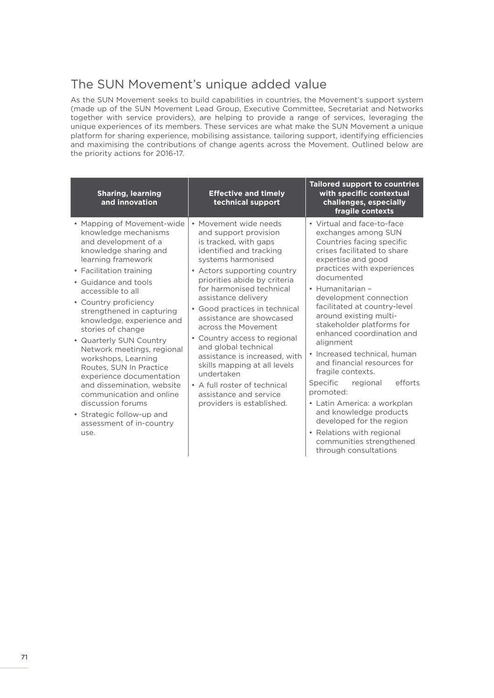## The SUN Movement's unique added value

As the SUN Movement seeks to build capabilities in countries, the Movement's support system (made up of the SUN Movement Lead Group, Executive Committee, Secretariat and Networks together with service providers), are helping to provide a range of services, leveraging the unique experiences of its members. These services are what make the SUN Movement a unique platform for sharing experience, mobilising assistance, tailoring support, identifying efficiencies and maximising the contributions of change agents across the Movement. Outlined below are the priority actions for 2016-17.

| <b>Sharing, learning</b><br>and innovation                                                                                                                                                                                                                                                                                                                                                                                                                                                                                                                                                       | <b>Effective and timely</b><br>technical support                                                                                                                                                                                                                                                                                                                                                                                                                                                                                                             | <b>Tailored support to countries</b><br>with specific contextual<br>challenges, especially<br>fragile contexts                                                                                                                                                                                                                                                                                                                                                                                                                                                                                                                                                                   |
|--------------------------------------------------------------------------------------------------------------------------------------------------------------------------------------------------------------------------------------------------------------------------------------------------------------------------------------------------------------------------------------------------------------------------------------------------------------------------------------------------------------------------------------------------------------------------------------------------|--------------------------------------------------------------------------------------------------------------------------------------------------------------------------------------------------------------------------------------------------------------------------------------------------------------------------------------------------------------------------------------------------------------------------------------------------------------------------------------------------------------------------------------------------------------|----------------------------------------------------------------------------------------------------------------------------------------------------------------------------------------------------------------------------------------------------------------------------------------------------------------------------------------------------------------------------------------------------------------------------------------------------------------------------------------------------------------------------------------------------------------------------------------------------------------------------------------------------------------------------------|
| • Mapping of Movement-wide<br>knowledge mechanisms<br>and development of a<br>knowledge sharing and<br>learning framework<br>• Facilitation training<br>• Guidance and tools<br>accessible to all<br>• Country proficiency<br>strengthened in capturing<br>knowledge, experience and<br>stories of change<br>• Quarterly SUN Country<br>Network meetings, regional<br>workshops, Learning<br>Routes, SUN In Practice<br>experience documentation<br>and dissemination, website<br>communication and online<br>discussion forums<br>• Strategic follow-up and<br>assessment of in-country<br>use. | • Movement wide needs<br>and support provision<br>is tracked, with gaps<br>identified and tracking<br>systems harmonised<br>• Actors supporting country<br>priorities abide by criteria<br>for harmonised technical<br>assistance delivery<br>· Good practices in technical<br>assistance are showcased<br>across the Movement<br>• Country access to regional<br>and global technical<br>assistance is increased, with<br>skills mapping at all levels<br>undertaken<br>• A full roster of technical<br>assistance and service<br>providers is established. | • Virtual and face-to-face<br>exchanges among SUN<br>Countries facing specific<br>crises facilitated to share<br>expertise and good<br>practices with experiences<br>documented<br>• Humanitarian -<br>development connection<br>facilitated at country-level<br>around existing multi-<br>stakeholder platforms for<br>enhanced coordination and<br>alignment<br>• Increased technical, human<br>and financial resources for<br>fragile contexts.<br>efforts<br><b>Specific</b><br>regional<br>promoted:<br>• Latin America: a workplan<br>and knowledge products<br>developed for the region<br>• Relations with regional<br>communities strengthened<br>through consultations |